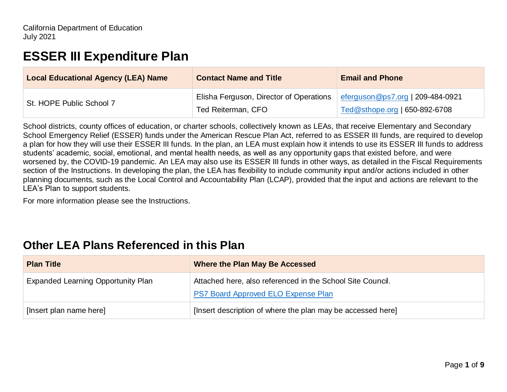# **ESSER III Expenditure Plan**

| <b>Local Educational Agency (LEA) Name</b> | <b>Contact Name and Title</b>           | <b>Email and Phone</b>           |
|--------------------------------------------|-----------------------------------------|----------------------------------|
| St. HOPE Public School 7                   | Elisha Ferguson, Director of Operations | eferguson@ps7.org   209-484-0921 |
|                                            | Ted Reiterman, CFO                      | Ted@sthope.org   650-892-6708    |

School districts, county offices of education, or charter schools, collectively known as LEAs, that receive Elementary and Secondary School Emergency Relief (ESSER) funds under the American Rescue Plan Act, referred to as ESSER III funds, are required to develop a plan for how they will use their ESSER III funds. In the plan, an LEA must explain how it intends to use its ESSER III funds to address students' academic, social, emotional, and mental health needs, as well as any opportunity gaps that existed before, and were worsened by, the COVID-19 pandemic. An LEA may also use its ESSER III funds in other ways, as detailed in the Fiscal Requirements section of the Instructions. In developing the plan, the LEA has flexibility to include community input and/or actions included in other planning documents, such as the Local Control and Accountability Plan (LCAP), provided that the input and actions are relevant to the LEA's Plan to support students.

For more information please see the Instructions.

## **Other LEA Plans Referenced in this Plan**

| <b>Plan Title</b>                         | Where the Plan May Be Accessed                              |  |
|-------------------------------------------|-------------------------------------------------------------|--|
| <b>Expanded Learning Opportunity Plan</b> | Attached here, also referenced in the School Site Council.  |  |
|                                           | PS7 Board Approved ELO Expense Plan                         |  |
| [Insert plan name here]                   | [Insert description of where the plan may be accessed here] |  |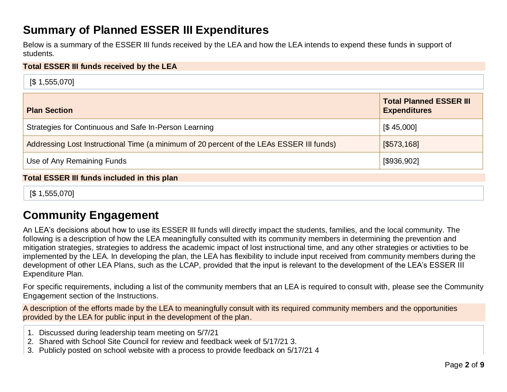## **Summary of Planned ESSER III Expenditures**

Below is a summary of the ESSER III funds received by the LEA and how the LEA intends to expend these funds in support of students.

#### **Total ESSER III funds received by the LEA**

| $\sqrt{51,555,070}$                                                                      |                                                       |  |  |
|------------------------------------------------------------------------------------------|-------------------------------------------------------|--|--|
| <b>Plan Section</b>                                                                      | <b>Total Planned ESSER III</b><br><b>Expenditures</b> |  |  |
| Strategies for Continuous and Safe In-Person Learning                                    | $\left[ $45,000 \right]$                              |  |  |
| Addressing Lost Instructional Time (a minimum of 20 percent of the LEAs ESSER III funds) | [\$573,168]                                           |  |  |
| Use of Any Remaining Funds                                                               | [\$936,902]                                           |  |  |
| <b>Total ESSER III funds included in this plan</b>                                       |                                                       |  |  |

[\$ 1,555,070]

## **Community Engagement**

An LEA's decisions about how to use its ESSER III funds will directly impact the students, families, and the local community. The following is a description of how the LEA meaningfully consulted with its community members in determining the prevention and mitigation strategies, strategies to address the academic impact of lost instructional time, and any other strategies or activities to be implemented by the LEA. In developing the plan, the LEA has flexibility to include input received from community members during the development of other LEA Plans, such as the LCAP, provided that the input is relevant to the development of the LEA's ESSER III Expenditure Plan.

For specific requirements, including a list of the community members that an LEA is required to consult with, please see the Community Engagement section of the Instructions.

A description of the efforts made by the LEA to meaningfully consult with its required community members and the opportunities provided by the LEA for public input in the development of the plan.

- 1. Discussed during leadership team meeting on 5/7/21
- 2. Shared with School Site Council for review and feedback week of 5/17/21 3.
- 3. Publicly posted on school website with a process to provide feedback on 5/17/21 4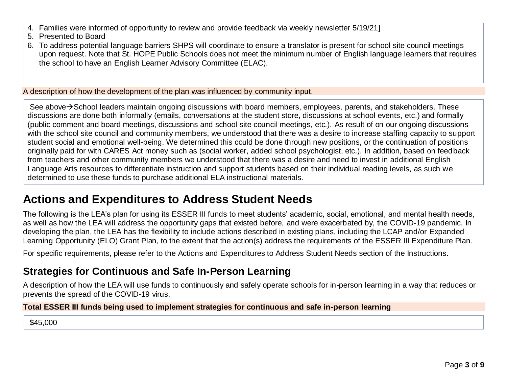- 4. Families were informed of opportunity to review and provide feedback via weekly newsletter 5/19/21]
- 5. Presented to Board
- 6. To address potential language barriers SHPS will coordinate to ensure a translator is present for school site council meetings upon request. Note that St. HOPE Public Schools does not meet the minimum number of English language learners that requires the school to have an English Learner Advisory Committee (ELAC).

A description of how the development of the plan was influenced by community input.

See above→School leaders maintain ongoing discussions with board members, employees, parents, and stakeholders. These discussions are done both informally (emails, conversations at the student store, discussions at school events, etc.) and formally (public comment and board meetings, discussions and school site council meetings, etc.). As result of on our ongoing discussions with the school site council and community members, we understood that there was a desire to increase staffing capacity to support student social and emotional well-being. We determined this could be done through new positions, or the continuation of positions originally paid for with CARES Act money such as (social worker, added school psychologist, etc.). In addition, based on feedback from teachers and other community members we understood that there was a desire and need to invest in additional English Language Arts resources to differentiate instruction and support students based on their individual reading levels, as such we determined to use these funds to purchase additional ELA instructional materials.

## **Actions and Expenditures to Address Student Needs**

The following is the LEA's plan for using its ESSER III funds to meet students' academic, social, emotional, and mental health needs, as well as how the LEA will address the opportunity gaps that existed before, and were exacerbated by, the COVID-19 pandemic. In developing the plan, the LEA has the flexibility to include actions described in existing plans, including the LCAP and/or Expanded Learning Opportunity (ELO) Grant Plan, to the extent that the action(s) address the requirements of the ESSER III Expenditure Plan.

For specific requirements, please refer to the Actions and Expenditures to Address Student Needs section of the Instructions.

## **Strategies for Continuous and Safe In-Person Learning**

A description of how the LEA will use funds to continuously and safely operate schools for in-person learning in a way that reduces or prevents the spread of the COVID-19 virus.

#### **Total ESSER III funds being used to implement strategies for continuous and safe in-person learning**

\$45,000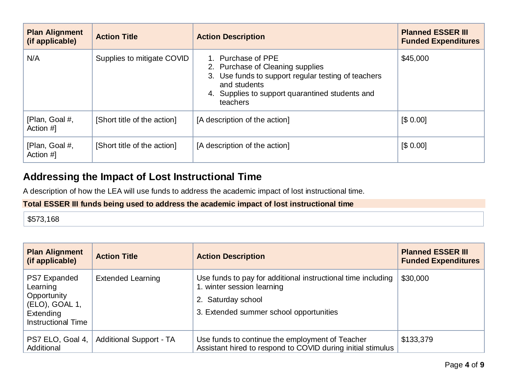| <b>Plan Alignment</b><br>(if applicable) | <b>Action Title</b>         | <b>Action Description</b>                                                                                                                                                                    | <b>Planned ESSER III</b><br><b>Funded Expenditures</b> |
|------------------------------------------|-----------------------------|----------------------------------------------------------------------------------------------------------------------------------------------------------------------------------------------|--------------------------------------------------------|
| N/A                                      | Supplies to mitigate COVID  | 1. Purchase of PPE<br>2. Purchase of Cleaning supplies<br>3. Use funds to support regular testing of teachers<br>and students<br>4. Supplies to support quarantined students and<br>teachers | \$45,000                                               |
| [Plan, Goal #,<br>Action #1              | [Short title of the action] | [A description of the action]                                                                                                                                                                | [\$0.00]                                               |
| [Plan, Goal #,<br>Action #1              | [Short title of the action] | [A description of the action]                                                                                                                                                                | [\$0.00]                                               |

## **Addressing the Impact of Lost Instructional Time**

A description of how the LEA will use funds to address the academic impact of lost instructional time.

### **Total ESSER III funds being used to address the academic impact of lost instructional time**

\$573,168

| <b>Plan Alignment</b><br>(if applicable)                                                                   | <b>Action Title</b>            | <b>Action Description</b>                                                                                                                                   | <b>Planned ESSER III</b><br><b>Funded Expenditures</b> |
|------------------------------------------------------------------------------------------------------------|--------------------------------|-------------------------------------------------------------------------------------------------------------------------------------------------------------|--------------------------------------------------------|
| <b>PS7 Expanded</b><br>Learning<br>Opportunity<br>(ELO), GOAL 1,<br>Extending<br><b>Instructional Time</b> | <b>Extended Learning</b>       | Use funds to pay for additional instructional time including<br>1. winter session learning<br>2. Saturday school<br>3. Extended summer school opportunities | \$30,000                                               |
| PS7 ELO, Goal 4,<br>Additional                                                                             | <b>Additional Support - TA</b> | Use funds to continue the employment of Teacher<br>Assistant hired to respond to COVID during initial stimulus                                              | \$133,379                                              |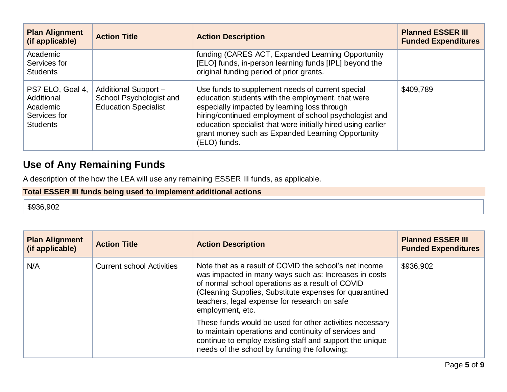| <b>Plan Alignment</b><br>(if applicable)                                      | <b>Action Title</b>                                                            | <b>Action Description</b>                                                                                                                                                                                                                                                                                                                            | <b>Planned ESSER III</b><br><b>Funded Expenditures</b> |
|-------------------------------------------------------------------------------|--------------------------------------------------------------------------------|------------------------------------------------------------------------------------------------------------------------------------------------------------------------------------------------------------------------------------------------------------------------------------------------------------------------------------------------------|--------------------------------------------------------|
| Academic<br>Services for<br><b>Students</b>                                   |                                                                                | funding (CARES ACT, Expanded Learning Opportunity<br>[ELO] funds, in-person learning funds [IPL] beyond the<br>original funding period of prior grants.                                                                                                                                                                                              |                                                        |
| PS7 ELO, Goal 4,<br>Additional<br>Academic<br>Services for<br><b>Students</b> | Additional Support -<br>School Psychologist and<br><b>Education Specialist</b> | Use funds to supplement needs of current special<br>education students with the employment, that were<br>especially impacted by learning loss through<br>hiring/continued employment of school psychologist and<br>education specialist that were initially hired using earlier<br>grant money such as Expanded Learning Opportunity<br>(ELO) funds. | \$409,789                                              |

## **Use of Any Remaining Funds**

A description of the how the LEA will use any remaining ESSER III funds, as applicable.

### **Total ESSER III funds being used to implement additional actions**

#### \$936,902

| <b>Plan Alignment</b><br>(if applicable) | <b>Action Title</b>              | <b>Action Description</b>                                                                                                                                                                                                                                                                          | <b>Planned ESSER III</b><br><b>Funded Expenditures</b> |
|------------------------------------------|----------------------------------|----------------------------------------------------------------------------------------------------------------------------------------------------------------------------------------------------------------------------------------------------------------------------------------------------|--------------------------------------------------------|
| N/A                                      | <b>Current school Activities</b> | Note that as a result of COVID the school's net income<br>was impacted in many ways such as: Increases in costs<br>of normal school operations as a result of COVID<br>(Cleaning Supplies, Substitute expenses for quarantined<br>teachers, legal expense for research on safe<br>employment, etc. | \$936,902                                              |
|                                          |                                  | These funds would be used for other activities necessary<br>to maintain operations and continuity of services and<br>continue to employ existing staff and support the unique<br>needs of the school by funding the following:                                                                     |                                                        |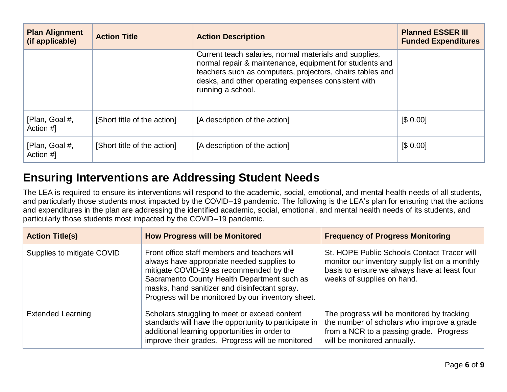| <b>Plan Alignment</b><br>(if applicable) | <b>Action Title</b>         | <b>Action Description</b>                                                                                                                                                                                                                                  | <b>Planned ESSER III</b><br><b>Funded Expenditures</b> |
|------------------------------------------|-----------------------------|------------------------------------------------------------------------------------------------------------------------------------------------------------------------------------------------------------------------------------------------------------|--------------------------------------------------------|
|                                          |                             | Current teach salaries, normal materials and supplies,<br>normal repair & maintenance, equipment for students and<br>teachers such as computers, projectors, chairs tables and<br>desks, and other operating expenses consistent with<br>running a school. |                                                        |
| [Plan, Goal #,<br>Action #1              | [Short title of the action] | [A description of the action]                                                                                                                                                                                                                              | [\$0.00]                                               |
| [Plan, Goal #,<br>Action #]              | [Short title of the action] | [A description of the action]                                                                                                                                                                                                                              | [\$0.00]                                               |

## **Ensuring Interventions are Addressing Student Needs**

The LEA is required to ensure its interventions will respond to the academic, social, emotional, and mental health needs of all students, and particularly those students most impacted by the COVID–19 pandemic. The following is the LEA's plan for ensuring that the actions and expenditures in the plan are addressing the identified academic, social, emotional, and mental health needs of its students, and particularly those students most impacted by the COVID–19 pandemic.

| <b>Action Title(s)</b>     | <b>How Progress will be Monitored</b>                                                                                                                                                                                                                                                       | <b>Frequency of Progress Monitoring</b>                                                                                                                                     |
|----------------------------|---------------------------------------------------------------------------------------------------------------------------------------------------------------------------------------------------------------------------------------------------------------------------------------------|-----------------------------------------------------------------------------------------------------------------------------------------------------------------------------|
| Supplies to mitigate COVID | Front office staff members and teachers will<br>always have appropriate needed supplies to<br>mitigate COVID-19 as recommended by the<br>Sacramento County Health Department such as<br>masks, hand sanitizer and disinfectant spray.<br>Progress will be monitored by our inventory sheet. | St. HOPE Public Schools Contact Tracer will<br>monitor our inventory supply list on a monthly<br>basis to ensure we always have at least four<br>weeks of supplies on hand. |
| <b>Extended Learning</b>   | Scholars struggling to meet or exceed content<br>standards will have the opportunity to participate in<br>additional learning opportunities in order to<br>improve their grades. Progress will be monitored                                                                                 | The progress will be monitored by tracking<br>the number of scholars who improve a grade<br>from a NCR to a passing grade. Progress<br>will be monitored annually.          |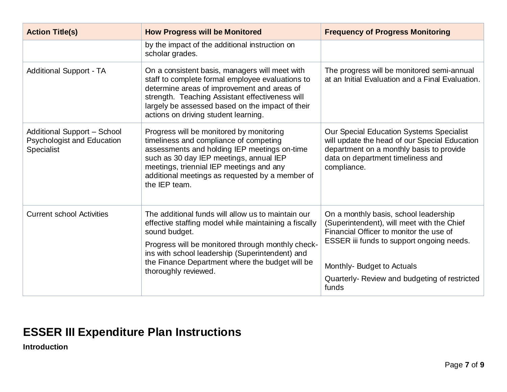| <b>Action Title(s)</b>                                                                       | <b>How Progress will be Monitored</b>                                                                                                                                                                                                                                                                           | <b>Frequency of Progress Monitoring</b>                                                                                                                                                                                                                            |
|----------------------------------------------------------------------------------------------|-----------------------------------------------------------------------------------------------------------------------------------------------------------------------------------------------------------------------------------------------------------------------------------------------------------------|--------------------------------------------------------------------------------------------------------------------------------------------------------------------------------------------------------------------------------------------------------------------|
|                                                                                              | by the impact of the additional instruction on<br>scholar grades.                                                                                                                                                                                                                                               |                                                                                                                                                                                                                                                                    |
| <b>Additional Support - TA</b>                                                               | On a consistent basis, managers will meet with<br>staff to complete formal employee evaluations to<br>determine areas of improvement and areas of<br>strength. Teaching Assistant effectiveness will<br>largely be assessed based on the impact of their<br>actions on driving student learning.                | The progress will be monitored semi-annual<br>at an Initial Evaluation and a Final Evaluation.                                                                                                                                                                     |
| <b>Additional Support - School</b><br><b>Psychologist and Education</b><br><b>Specialist</b> | Progress will be monitored by monitoring<br>timeliness and compliance of competing<br>assessments and holding IEP meetings on-time<br>such as 30 day IEP meetings, annual IEP<br>meetings, triennial IEP meetings and any<br>additional meetings as requested by a member of<br>the IEP team.                   | Our Special Education Systems Specialist<br>will update the head of our Special Education<br>department on a monthly basis to provide<br>data on department timeliness and<br>compliance.                                                                          |
| <b>Current school Activities</b>                                                             | The additional funds will allow us to maintain our<br>effective staffing model while maintaining a fiscally<br>sound budget.<br>Progress will be monitored through monthly check-<br>ins with school leadership (Superintendent) and<br>the Finance Department where the budget will be<br>thoroughly reviewed. | On a monthly basis, school leadership<br>(Superintendent), will meet with the Chief<br>Financial Officer to monitor the use of<br>ESSER iii funds to support ongoing needs.<br>Monthly- Budget to Actuals<br>Quarterly-Review and budgeting of restricted<br>funds |

# **ESSER III Expenditure Plan Instructions**

**Introduction**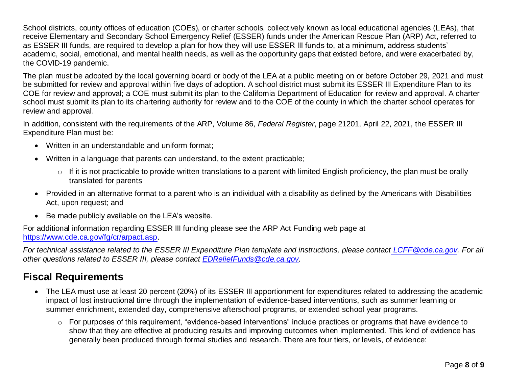School districts, county offices of education (COEs), or charter schools, collectively known as local educational agencies (LEAs), that receive Elementary and Secondary School Emergency Relief (ESSER) funds under the American Rescue Plan (ARP) Act, referred to as ESSER III funds, are required to develop a plan for how they will use ESSER III funds to, at a minimum, address students' academic, social, emotional, and mental health needs, as well as the opportunity gaps that existed before, and were exacerbated by, the COVID-19 pandemic.

The plan must be adopted by the local governing board or body of the LEA at a public meeting on or before October 29, 2021 and must be submitted for review and approval within five days of adoption. A school district must submit its ESSER III Expenditure Plan to its COE for review and approval; a COE must submit its plan to the California Department of Education for review and approval. A charter school must submit its plan to its chartering authority for review and to the COE of the county in which the charter school operates for review and approval.

In addition, consistent with the requirements of the ARP, Volume 86, *Federal Register*, page 21201, April 22, 2021, the ESSER III Expenditure Plan must be:

- Written in an understandable and uniform format;
- Written in a language that parents can understand, to the extent practicable;
	- $\circ$  If it is not practicable to provide written translations to a parent with limited English proficiency, the plan must be orally translated for parents
- Provided in an alternative format to a parent who is an individual with a disability as defined by the Americans with Disabilities Act, upon request; and
- Be made publicly available on the LEA's website.

For additional information regarding ESSER III funding please see the ARP Act Funding web page at [https://www.cde.ca.gov/fg/cr/arpact.asp.](https://www.cde.ca.gov/fg/cr/arpact.asp)

*For technical assistance related to the ESSER III Expenditure Plan template and instructions, please contact [LCFF@cde.ca.gov.](mailto:LCFF@cde.ca.gov) For all other questions related to ESSER III, please contact [EDReliefFunds@cde.ca.gov.](mailto:EDReliefFunds@cde.ca.gov)*

## **Fiscal Requirements**

- The LEA must use at least 20 percent (20%) of its ESSER III apportionment for expenditures related to addressing the academic impact of lost instructional time through the implementation of evidence-based interventions, such as summer learning or summer enrichment, extended day, comprehensive afterschool programs, or extended school year programs.
	- o For purposes of this requirement, "evidence-based interventions" include practices or programs that have evidence to show that they are effective at producing results and improving outcomes when implemented. This kind of evidence has generally been produced through formal studies and research. There are four tiers, or levels, of evidence: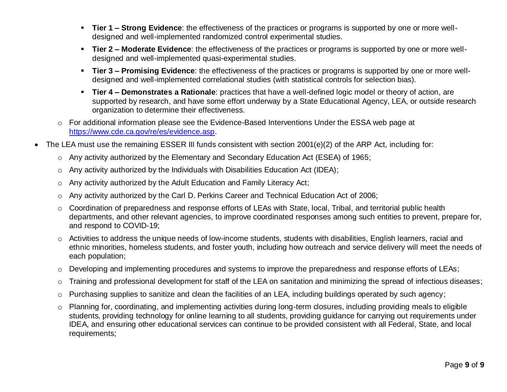- **Tier 1 – Strong Evidence**: the effectiveness of the practices or programs is supported by one or more welldesigned and well-implemented randomized control experimental studies.
- **Tier 2 – Moderate Evidence**: the effectiveness of the practices or programs is supported by one or more welldesigned and well-implemented quasi-experimental studies.
- **Tier 3 – Promising Evidence**: the effectiveness of the practices or programs is supported by one or more welldesigned and well-implemented correlational studies (with statistical controls for selection bias).
- **Tier 4 – Demonstrates a Rationale**: practices that have a well-defined logic model or theory of action, are supported by research, and have some effort underway by a State Educational Agency, LEA, or outside research organization to determine their effectiveness.
- o For additional information please see the Evidence-Based Interventions Under the ESSA web page at [https://www.cde.ca.gov/re/es/evidence.asp.](https://www.cde.ca.gov/re/es/evidence.asp)
- The LEA must use the remaining ESSER III funds consistent with section 2001(e)(2) of the ARP Act, including for:
	- o Any activity authorized by the Elementary and Secondary Education Act (ESEA) of 1965;
	- $\circ$  Any activity authorized by the Individuals with Disabilities Education Act (IDEA);
	- o Any activity authorized by the Adult Education and Family Literacy Act;
	- o Any activity authorized by the Carl D. Perkins Career and Technical Education Act of 2006;
	- o Coordination of preparedness and response efforts of LEAs with State, local, Tribal, and territorial public health departments, and other relevant agencies, to improve coordinated responses among such entities to prevent, prepare for, and respond to COVID-19;
	- o Activities to address the unique needs of low-income students, students with disabilities, English learners, racial and ethnic minorities, homeless students, and foster youth, including how outreach and service delivery will meet the needs of each population;
	- o Developing and implementing procedures and systems to improve the preparedness and response efforts of LEAs;
	- o Training and professional development for staff of the LEA on sanitation and minimizing the spread of infectious diseases;
	- o Purchasing supplies to sanitize and clean the facilities of an LEA, including buildings operated by such agency;
	- o Planning for, coordinating, and implementing activities during long-term closures, including providing meals to eligible students, providing technology for online learning to all students, providing guidance for carrying out requirements under IDEA, and ensuring other educational services can continue to be provided consistent with all Federal, State, and local requirements;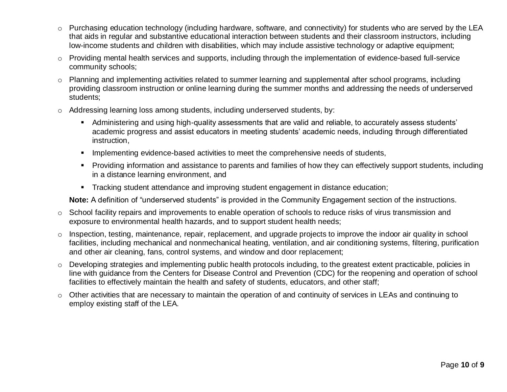- $\circ$  Purchasing education technology (including hardware, software, and connectivity) for students who are served by the LEA that aids in regular and substantive educational interaction between students and their classroom instructors, including low-income students and children with disabilities, which may include assistive technology or adaptive equipment;
- o Providing mental health services and supports, including through the implementation of evidence-based full-service community schools;
- o Planning and implementing activities related to summer learning and supplemental after school programs, including providing classroom instruction or online learning during the summer months and addressing the needs of underserved students;
- $\circ$  Addressing learning loss among students, including underserved students, by:
	- Administering and using high-quality assessments that are valid and reliable, to accurately assess students' academic progress and assist educators in meeting students' academic needs, including through differentiated instruction,
	- **EXECT** Implementing evidence-based activities to meet the comprehensive needs of students,
	- Providing information and assistance to parents and families of how they can effectively support students, including in a distance learning environment, and
	- **•** Tracking student attendance and improving student engagement in distance education;

**Note:** A definition of "underserved students" is provided in the Community Engagement section of the instructions.

- o School facility repairs and improvements to enable operation of schools to reduce risks of virus transmission and exposure to environmental health hazards, and to support student health needs;
- o Inspection, testing, maintenance, repair, replacement, and upgrade projects to improve the indoor air quality in school facilities, including mechanical and nonmechanical heating, ventilation, and air conditioning systems, filtering, purification and other air cleaning, fans, control systems, and window and door replacement;
- $\circ$  Developing strategies and implementing public health protocols including, to the greatest extent practicable, policies in line with guidance from the Centers for Disease Control and Prevention (CDC) for the reopening and operation of school facilities to effectively maintain the health and safety of students, educators, and other staff;
- o Other activities that are necessary to maintain the operation of and continuity of services in LEAs and continuing to employ existing staff of the LEA.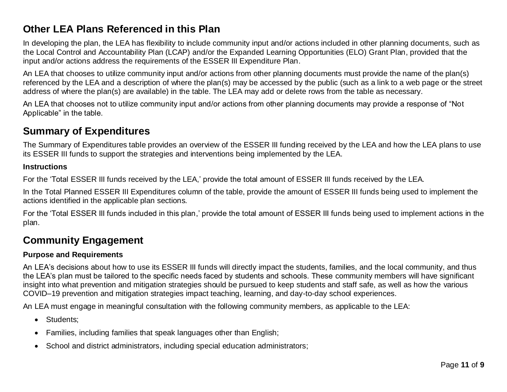### **Other LEA Plans Referenced in this Plan**

In developing the plan, the LEA has flexibility to include community input and/or actions included in other planning documents, such as the Local Control and Accountability Plan (LCAP) and/or the Expanded Learning Opportunities (ELO) Grant Plan, provided that the input and/or actions address the requirements of the ESSER III Expenditure Plan.

An LEA that chooses to utilize community input and/or actions from other planning documents must provide the name of the plan(s) referenced by the LEA and a description of where the plan(s) may be accessed by the public (such as a link to a web page or the street address of where the plan(s) are available) in the table. The LEA may add or delete rows from the table as necessary.

An LEA that chooses not to utilize community input and/or actions from other planning documents may provide a response of "Not Applicable" in the table.

### **Summary of Expenditures**

The Summary of Expenditures table provides an overview of the ESSER III funding received by the LEA and how the LEA plans to use its ESSER III funds to support the strategies and interventions being implemented by the LEA.

#### **Instructions**

For the 'Total ESSER III funds received by the LEA,' provide the total amount of ESSER III funds received by the LEA.

In the Total Planned ESSER III Expenditures column of the table, provide the amount of ESSER III funds being used to implement the actions identified in the applicable plan sections.

For the 'Total ESSER III funds included in this plan,' provide the total amount of ESSER III funds being used to implement actions in the plan.

### **Community Engagement**

#### **Purpose and Requirements**

An LEA's decisions about how to use its ESSER III funds will directly impact the students, families, and the local community, and thus the LEA's plan must be tailored to the specific needs faced by students and schools. These community members will have significant insight into what prevention and mitigation strategies should be pursued to keep students and staff safe, as well as how the various COVID–19 prevention and mitigation strategies impact teaching, learning, and day-to-day school experiences.

An LEA must engage in meaningful consultation with the following community members, as applicable to the LEA:

- Students:
- Families, including families that speak languages other than English;
- School and district administrators, including special education administrators;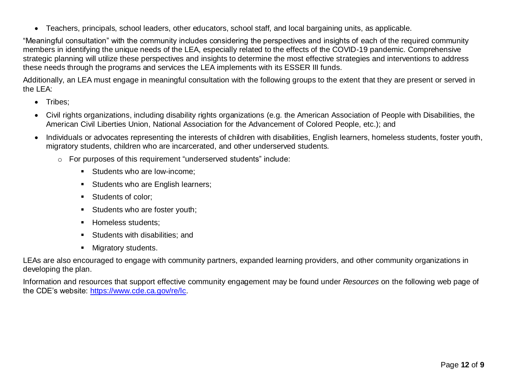• Teachers, principals, school leaders, other educators, school staff, and local bargaining units, as applicable.

"Meaningful consultation" with the community includes considering the perspectives and insights of each of the required community members in identifying the unique needs of the LEA, especially related to the effects of the COVID-19 pandemic. Comprehensive strategic planning will utilize these perspectives and insights to determine the most effective strategies and interventions to address these needs through the programs and services the LEA implements with its ESSER III funds.

Additionally, an LEA must engage in meaningful consultation with the following groups to the extent that they are present or served in the LEA:

- Tribes:
- Civil rights organizations, including disability rights organizations (e.g. the American Association of People with Disabilities, the American Civil Liberties Union, National Association for the Advancement of Colored People, etc.); and
- Individuals or advocates representing the interests of children with disabilities, English learners, homeless students, foster youth, migratory students, children who are incarcerated, and other underserved students.
	- o For purposes of this requirement "underserved students" include:
		- Students who are low-income:
		- Students who are English learners;
		- Students of color;
		- **EXECUTE:** Students who are foster youth;
		- **E** Homeless students:
		- **EXECUTE:** Students with disabilities; and
		- Migratory students.

LEAs are also encouraged to engage with community partners, expanded learning providers, and other community organizations in developing the plan.

Information and resources that support effective community engagement may be found under *Resources* on the following web page of the CDE's website: [https://www.cde.ca.gov/re/lc.](https://www.cde.ca.gov/re/lc)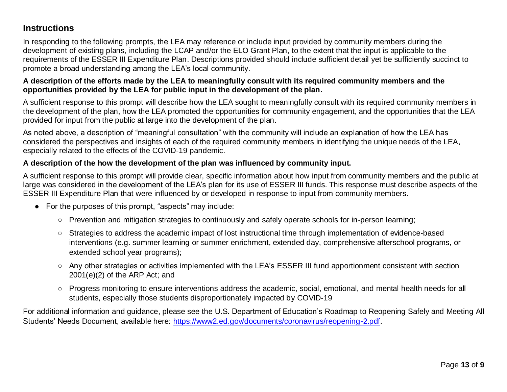### **Instructions**

In responding to the following prompts, the LEA may reference or include input provided by community members during the development of existing plans, including the LCAP and/or the ELO Grant Plan, to the extent that the input is applicable to the requirements of the ESSER III Expenditure Plan. Descriptions provided should include sufficient detail yet be sufficiently succinct to promote a broad understanding among the LEA's local community.

### **A description of the efforts made by the LEA to meaningfully consult with its required community members and the opportunities provided by the LEA for public input in the development of the plan.**

A sufficient response to this prompt will describe how the LEA sought to meaningfully consult with its required community members in the development of the plan, how the LEA promoted the opportunities for community engagement, and the opportunities that the LEA provided for input from the public at large into the development of the plan.

As noted above, a description of "meaningful consultation" with the community will include an explanation of how the LEA has considered the perspectives and insights of each of the required community members in identifying the unique needs of the LEA, especially related to the effects of the COVID-19 pandemic.

### **A description of the how the development of the plan was influenced by community input.**

A sufficient response to this prompt will provide clear, specific information about how input from community members and the public at large was considered in the development of the LEA's plan for its use of ESSER III funds. This response must describe aspects of the ESSER III Expenditure Plan that were influenced by or developed in response to input from community members.

- For the purposes of this prompt, "aspects" may include:
	- Prevention and mitigation strategies to continuously and safely operate schools for in-person learning;
	- Strategies to address the academic impact of lost instructional time through implementation of evidence-based interventions (e.g. summer learning or summer enrichment, extended day, comprehensive afterschool programs, or extended school year programs);
	- Any other strategies or activities implemented with the LEA's ESSER III fund apportionment consistent with section 2001(e)(2) of the ARP Act; and
	- Progress monitoring to ensure interventions address the academic, social, emotional, and mental health needs for all students, especially those students disproportionately impacted by COVID-19

For additional information and guidance, please see the U.S. Department of Education's Roadmap to Reopening Safely and Meeting All Students' Needs Document, available here: [https://www2.ed.gov/documents/coronavirus/reopening-2.pdf.](https://www2.ed.gov/documents/coronavirus/reopening-2.pdf)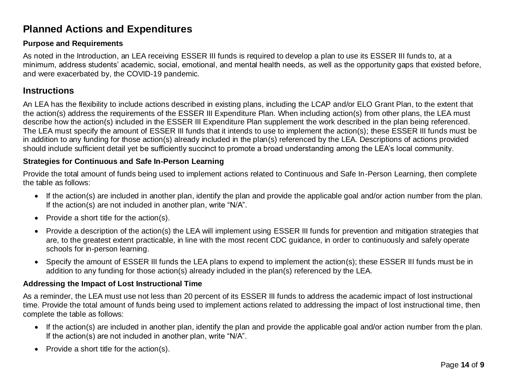## **Planned Actions and Expenditures**

#### **Purpose and Requirements**

As noted in the Introduction, an LEA receiving ESSER III funds is required to develop a plan to use its ESSER III funds to, at a minimum, address students' academic, social, emotional, and mental health needs, as well as the opportunity gaps that existed before, and were exacerbated by, the COVID-19 pandemic.

### **Instructions**

An LEA has the flexibility to include actions described in existing plans, including the LCAP and/or ELO Grant Plan, to the extent that the action(s) address the requirements of the ESSER III Expenditure Plan. When including action(s) from other plans, the LEA must describe how the action(s) included in the ESSER III Expenditure Plan supplement the work described in the plan being referenced. The LEA must specify the amount of ESSER III funds that it intends to use to implement the action(s); these ESSER III funds must be in addition to any funding for those action(s) already included in the plan(s) referenced by the LEA. Descriptions of actions provided should include sufficient detail yet be sufficiently succinct to promote a broad understanding among the LEA's local community.

#### **Strategies for Continuous and Safe In-Person Learning**

Provide the total amount of funds being used to implement actions related to Continuous and Safe In-Person Learning, then complete the table as follows:

- If the action(s) are included in another plan, identify the plan and provide the applicable goal and/or action number from the plan. If the action(s) are not included in another plan, write "N/A".
- Provide a short title for the action(s).
- Provide a description of the action(s) the LEA will implement using ESSER III funds for prevention and mitigation strategies that are, to the greatest extent practicable, in line with the most recent CDC guidance, in order to continuously and safely operate schools for in-person learning.
- Specify the amount of ESSER III funds the LEA plans to expend to implement the action(s); these ESSER III funds must be in addition to any funding for those action(s) already included in the plan(s) referenced by the LEA.

#### **Addressing the Impact of Lost Instructional Time**

As a reminder, the LEA must use not less than 20 percent of its ESSER III funds to address the academic impact of lost instructional time. Provide the total amount of funds being used to implement actions related to addressing the impact of lost instructional time, then complete the table as follows:

- If the action(s) are included in another plan, identify the plan and provide the applicable goal and/or action number from the plan. If the action(s) are not included in another plan, write "N/A".
- Provide a short title for the action(s).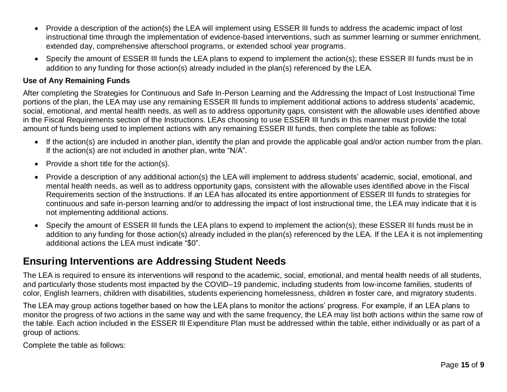- Provide a description of the action(s) the LEA will implement using ESSER III funds to address the academic impact of lost instructional time through the implementation of evidence-based interventions, such as summer learning or summer enrichment, extended day, comprehensive afterschool programs, or extended school year programs.
- Specify the amount of ESSER III funds the LEA plans to expend to implement the action(s); these ESSER III funds must be in addition to any funding for those action(s) already included in the plan(s) referenced by the LEA.

#### **Use of Any Remaining Funds**

After completing the Strategies for Continuous and Safe In-Person Learning and the Addressing the Impact of Lost Instructional Time portions of the plan, the LEA may use any remaining ESSER III funds to implement additional actions to address students' academic, social, emotional, and mental health needs, as well as to address opportunity gaps, consistent with the allowable uses identified above in the Fiscal Requirements section of the Instructions. LEAs choosing to use ESSER III funds in this manner must provide the total amount of funds being used to implement actions with any remaining ESSER III funds, then complete the table as follows:

- If the action(s) are included in another plan, identify the plan and provide the applicable goal and/or action number from the plan. If the action(s) are not included in another plan, write "N/A".
- Provide a short title for the action(s).
- Provide a description of any additional action(s) the LEA will implement to address students' academic, social, emotional, and mental health needs, as well as to address opportunity gaps, consistent with the allowable uses identified above in the Fiscal Requirements section of the Instructions. If an LEA has allocated its entire apportionment of ESSER III funds to strategies for continuous and safe in-person learning and/or to addressing the impact of lost instructional time, the LEA may indicate that it is not implementing additional actions.
- Specify the amount of ESSER III funds the LEA plans to expend to implement the action(s); these ESSER III funds must be in addition to any funding for those action(s) already included in the plan(s) referenced by the LEA. If the LEA it is not implementing additional actions the LEA must indicate "\$0".

### **Ensuring Interventions are Addressing Student Needs**

The LEA is required to ensure its interventions will respond to the academic, social, emotional, and mental health needs of all students, and particularly those students most impacted by the COVID–19 pandemic, including students from low-income families, students of color, English learners, children with disabilities, students experiencing homelessness, children in foster care, and migratory students.

The LEA may group actions together based on how the LEA plans to monitor the actions' progress. For example, if an LEA plans to monitor the progress of two actions in the same way and with the same frequency, the LEA may list both actions within the same row of the table. Each action included in the ESSER III Expenditure Plan must be addressed within the table, either individually or as part of a group of actions.

Complete the table as follows: